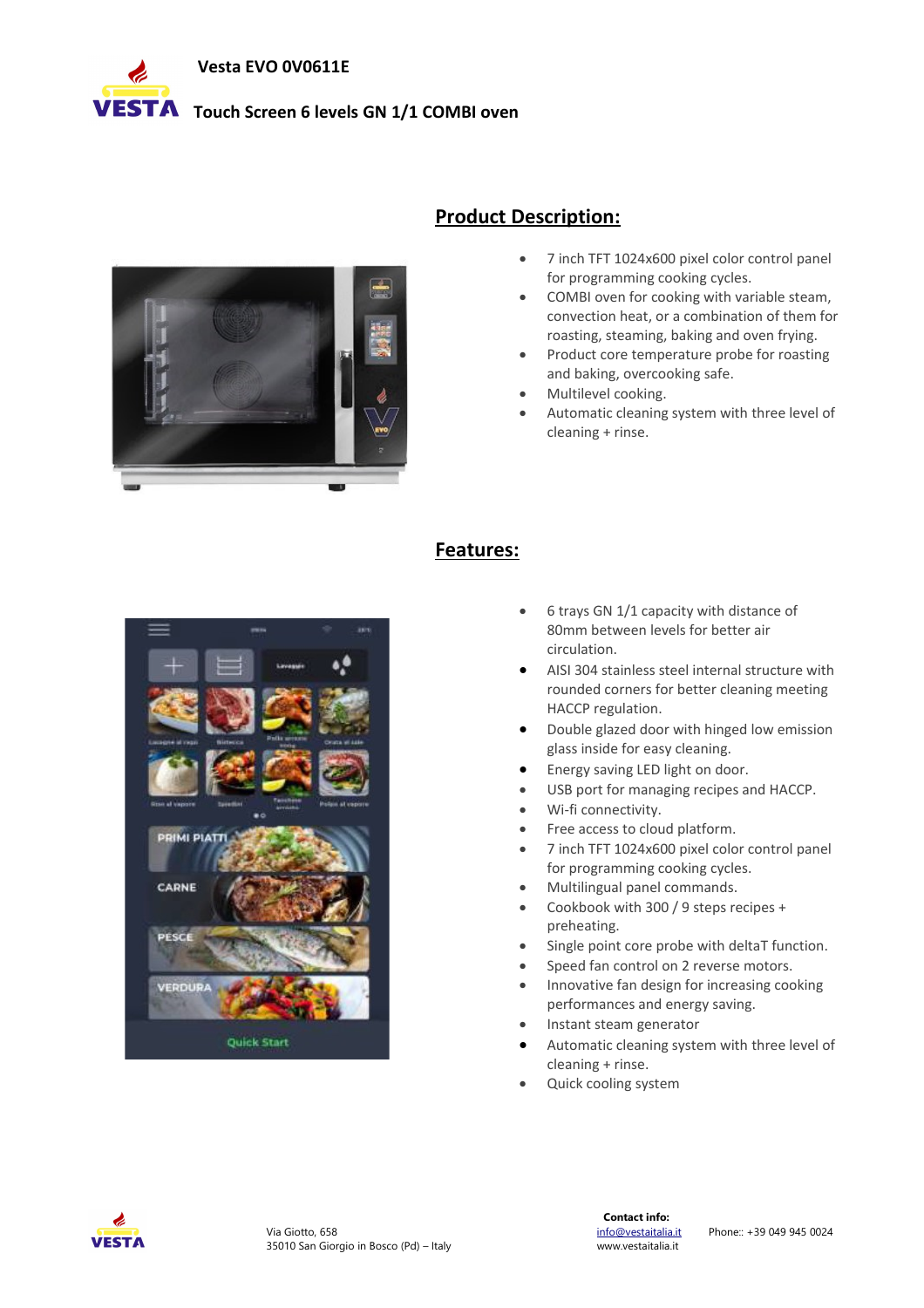

# **VESTA** Touch Screen 6 levels GN 1/1 COMBI oven



## **Product Description:**

- 7 inch TFT 1024x600 pixel color control panel for programming cooking cycles.
- COMBI oven for cooking with variable steam, convection heat, or a combination of them for roasting, steaming, baking and oven frying.
- Product core temperature probe for roasting and baking, overcooking safe.
- Multilevel cooking.
- Automatic cleaning system with three level of cleaning + rinse.



### **Features:**

- 6 trays GN 1/1 capacity with distance of 80mm between levels for better air circulation.
- AISI 304 stainless steel internal structure with rounded corners for better cleaning meeting HACCP regulation.
- Double glazed door with hinged low emission glass inside for easy cleaning.
- Energy saving LED light on door.
- USB port for managing recipes and HACCP.
- Wi-fi connectivity.
- Free access to cloud platform.
- 7 inch TFT 1024x600 pixel color control panel for programming cooking cycles.
- Multilingual panel commands.
- Cookbook with 300 / 9 steps recipes + preheating.
- Single point core probe with deltaT function.
- Speed fan control on 2 reverse motors.
- Innovative fan design for increasing cooking performances and energy saving.
- Instant steam generator
- Automatic cleaning system with three level of cleaning + rinse.
- Quick cooling system

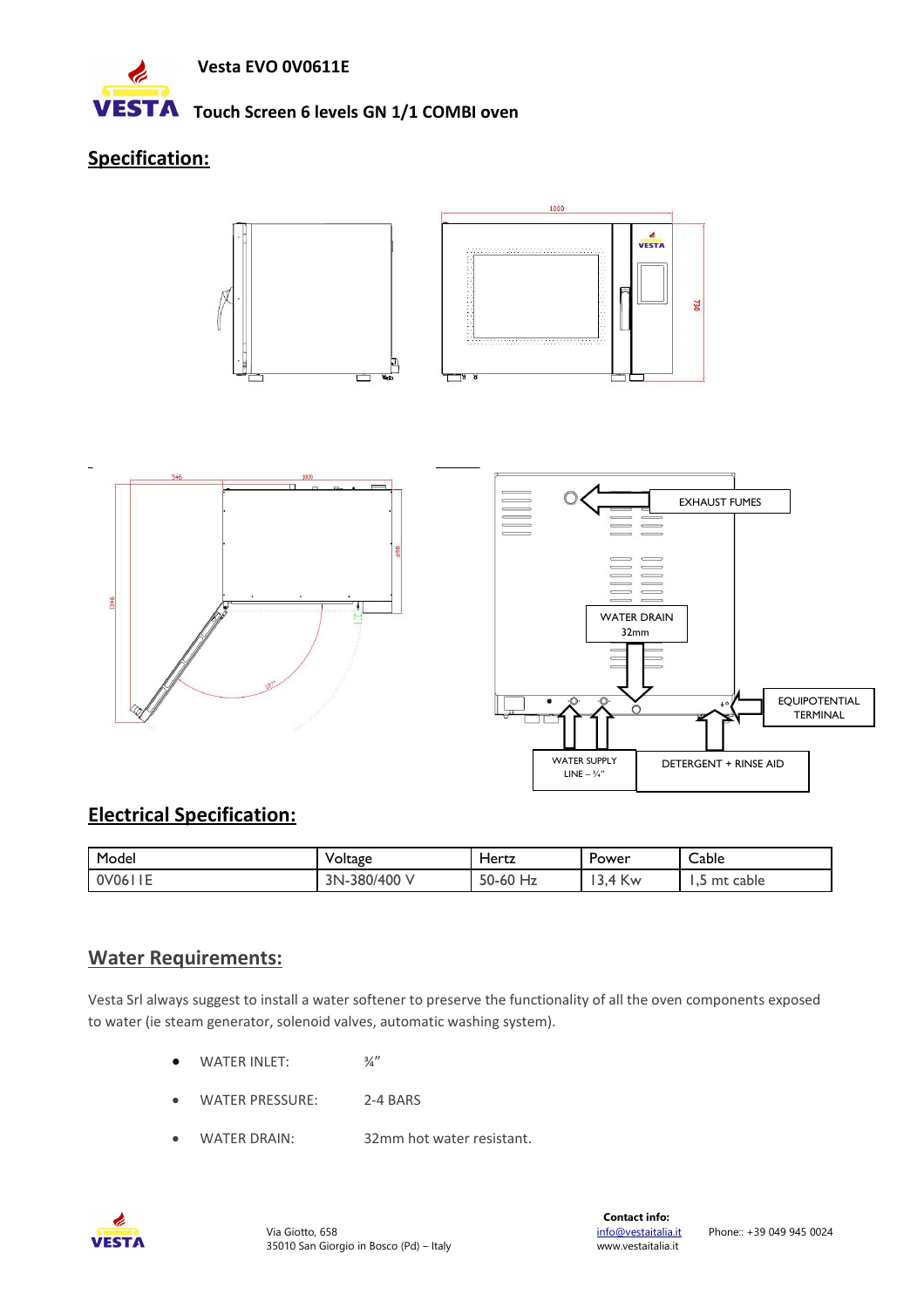

**VESTA** Touch Screen 6 levels GN 1/1 COMBI oven

# **Specification:**







# **Electrical Specification:**

| Model        | Voltage      | Hertz                     | Power                      | Cable           |
|--------------|--------------|---------------------------|----------------------------|-----------------|
| $0\sqrt{06}$ | 3N-380/400 V | 50-60<br>$^{\prime}$ 0 Hz | ' Kw<br>$\sim$<br>4<br>J.T | cable<br>mt<br> |

# **Water Requirements:**

Vesta Srl always suggest to install a water softener to preserve the functionality of all the oven components exposed to water (ie steam generator, solenoid valves, automatic washing system).

- $\bullet$  WATER INLET:  $\frac{3}{4}$ "
- WATER PRESSURE: 2-4 BARS
- WATER DRAIN: 32mm hot water resistant.